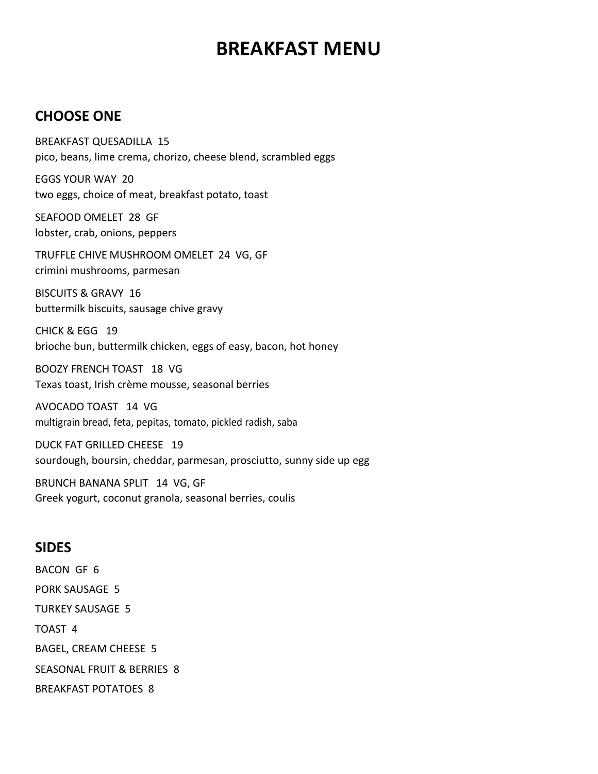# BREAKFAST MENU

### **CHOOSE ONE**

BREAKFAST QUESADILLA 15 pico, beans, lime crema, chorizo, cheese blend, scrambled eggs

EGGS YOUR WAY 20 two eggs, choice of meat, breakfast potato, toast

SEAFOOD OMELET 28 GF lobster, crab, onions, peppers

TRUFFLE CHIVE MUSHROOM OMELET 24 VG, GF crimini mushrooms, parmesan

BISCUITS & GRAVY 16 buttermilk biscuits, sausage chive gravy

CHICK & EGG 19 brioche bun, buttermilk chicken, eggs of easy, bacon, hot honey

BOOZY FRENCH TOAST 18 VG Texas toast, Irish crème mousse, seasonal berries

AVOCADO TOAST 14 VG multigrain bread, feta, pepitas, tomato, pickled radish, saba

DUCK FAT GRILLED CHEESE 19 sourdough, boursin, cheddar, parmesan, prosciutto, sunny side up egg

BRUNCH BANANA SPLIT 14 VG, GF Greek yogurt, coconut granola, seasonal berries, coulis

#### SIDES

BACON GF 6 PORK SAUSAGE 5 TURKEY SAUSAGE 5 TOAST 4 BAGEL, CREAM CHEESE 5 SEASONAL FRUIT & BERRIES 8 BREAKFAST POTATOES 8